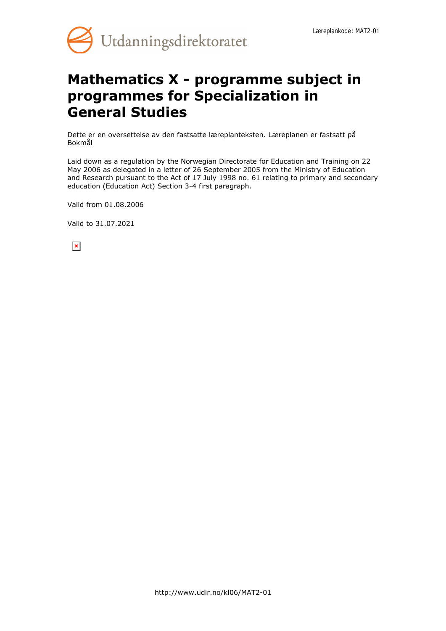

# **Mathematics X - programme subject in programmes for Specialization in General Studies**

Dette er en oversettelse av den fastsatte læreplanteksten. Læreplanen er fastsatt på Bokmål

Laid down as a regulation by the Norwegian Directorate for Education and Training on 22 May 2006 as delegated in a letter of 26 September 2005 from the Ministry of Education and Research pursuant to the Act of 17 July 1998 no. 61 relating to primary and secondary education (Education Act) Section 3-4 first paragraph.

Valid from 01.08.2006

Valid to 31.07.2021

 $\pmb{\times}$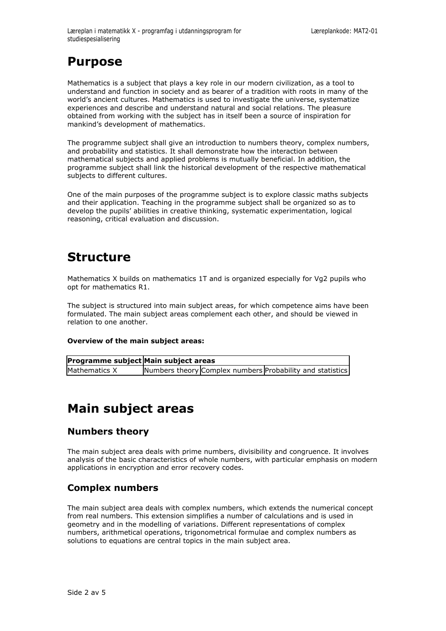## **Purpose**

Mathematics is a subject that plays a key role in our modern civilization, as a tool to understand and function in society and as bearer of a tradition with roots in many of the world's ancient cultures. Mathematics is used to investigate the universe, systematize experiences and describe and understand natural and social relations. The pleasure obtained from working with the subject has in itself been a source of inspiration for mankind's development of mathematics.

The programme subject shall give an introduction to numbers theory, complex numbers, and probability and statistics. It shall demonstrate how the interaction between mathematical subjects and applied problems is mutually beneficial. In addition, the programme subject shall link the historical development of the respective mathematical subjects to different cultures.

One of the main purposes of the programme subject is to explore classic maths subjects and their application. Teaching in the programme subject shall be organized so as to develop the pupils' abilities in creative thinking, systematic experimentation, logical reasoning, critical evaluation and discussion.

## **Structure**

Mathematics X builds on mathematics 1T and is organized especially for Vg2 pupils who opt for mathematics R1.

The subject is structured into main subject areas, for which competence aims have been formulated. The main subject areas complement each other, and should be viewed in relation to one another.

#### **Overview of the main subject areas:**

| Programme subject Main subject areas |                                                           |  |
|--------------------------------------|-----------------------------------------------------------|--|
| Mathematics X                        | Numbers theory Complex numbers Probability and statistics |  |

## **Main subject areas**

### **Numbers theory**

The main subject area deals with prime numbers, divisibility and congruence. It involves analysis of the basic characteristics of whole numbers, with particular emphasis on modern applications in encryption and error recovery codes.

### **Complex numbers**

The main subject area deals with complex numbers, which extends the numerical concept from real numbers. This extension simplifies a number of calculations and is used in geometry and in the modelling of variations. Different representations of complex numbers, arithmetical operations, trigonometrical formulae and complex numbers as solutions to equations are central topics in the main subject area.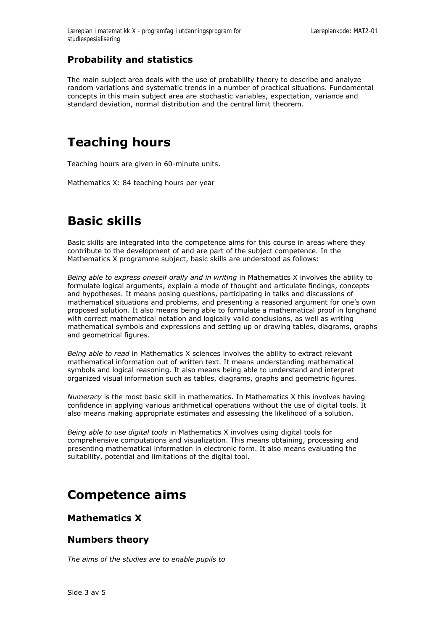### **Probability and statistics**

The main subject area deals with the use of probability theory to describe and analyze random variations and systematic trends in a number of practical situations. Fundamental concepts in this main subject area are stochastic variables, expectation, variance and standard deviation, normal distribution and the central limit theorem.

# **Teaching hours**

Teaching hours are given in 60-minute units.

Mathematics X: 84 teaching hours per year

# **Basic skills**

Basic skills are integrated into the competence aims for this course in areas where they contribute to the development of and are part of the subject competence. In the Mathematics X programme subject, basic skills are understood as follows:

*Being able to express oneself orally and in writing* in Mathematics X involves the ability to formulate logical arguments, explain a mode of thought and articulate findings, concepts and hypotheses. It means posing questions, participating in talks and discussions of mathematical situations and problems, and presenting a reasoned argument for one's own proposed solution. It also means being able to formulate a mathematical proof in longhand with correct mathematical notation and logically valid conclusions, as well as writing mathematical symbols and expressions and setting up or drawing tables, diagrams, graphs and geometrical figures.

*Being able to read* in Mathematics X sciences involves the ability to extract relevant mathematical information out of written text. It means understanding mathematical symbols and logical reasoning. It also means being able to understand and interpret organized visual information such as tables, diagrams, graphs and geometric figures.

*Numeracy* is the most basic skill in mathematics. In Mathematics X this involves having confidence in applying various arithmetical operations without the use of digital tools. It also means making appropriate estimates and assessing the likelihood of a solution.

*Being able to use digital tools* in Mathematics X involves using digital tools for comprehensive computations and visualization. This means obtaining, processing and presenting mathematical information in electronic form. It also means evaluating the suitability, potential and limitations of the digital tool.

### **Competence aims**

#### **Mathematics X**

#### **Numbers theory**

*The aims of the studies are to enable pupils to*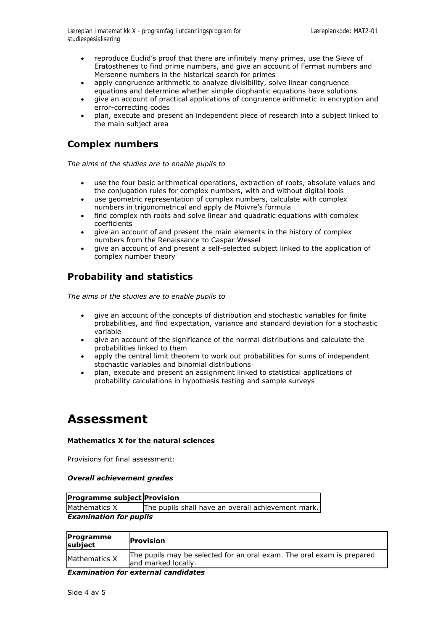- reproduce Euclid's proof that there are infinitely many primes, use the Sieve of Eratosthenes to find prime numbers, and give an account of Fermat numbers and Mersenne numbers in the historical search for primes
- apply congruence arithmetic to analyze divisibility, solve linear congruence equations and determine whether simple diophantic equations have solutions
- give an account of practical applications of congruence arithmetic in encryption and error-correcting codes
- plan, execute and present an independent piece of research into a subject linked to the main subject area

### **Complex numbers**

*The aims of the studies are to enable pupils to*

- use the four basic arithmetical operations, extraction of roots, absolute values and the conjugation rules for complex numbers, with and without digital tools
- use geometric representation of complex numbers, calculate with complex numbers in trigonometrical and apply de Moivre's formula
- find complex nth roots and solve linear and quadratic equations with complex coefficients
- give an account of and present the main elements in the history of complex numbers from the Renaissance to Caspar Wessel
- give an account of and present a self-selected subject linked to the application of complex number theory

### **Probability and statistics**

*The aims of the studies are to enable pupils to*

- give an account of the concepts of distribution and stochastic variables for finite probabilities, and find expectation, variance and standard deviation for a stochastic variable
- give an account of the significance of the normal distributions and calculate the probabilities linked to them
- apply the central limit theorem to work out probabilities for sums of independent stochastic variables and binomial distributions
- plan, execute and present an assignment linked to statistical applications of probability calculations in hypothesis testing and sample surveys

### **Assessment**

#### **Mathematics X for the natural sciences**

Provisions for final assessment:

#### *Overall achievement grades*

| Programme subject Provision   |                                                    |  |  |  |
|-------------------------------|----------------------------------------------------|--|--|--|
| Mathematics X                 | The pupils shall have an overall achievement mark. |  |  |  |
| <b>Examination for pupils</b> |                                                    |  |  |  |

| Programme<br>subject | <b>Provision</b>                                                                              |
|----------------------|-----------------------------------------------------------------------------------------------|
| Mathematics X        | The pupils may be selected for an oral exam. The oral exam is prepared<br>and marked locally. |
|                      | _                                                                                             |

*Examination for external candidates*